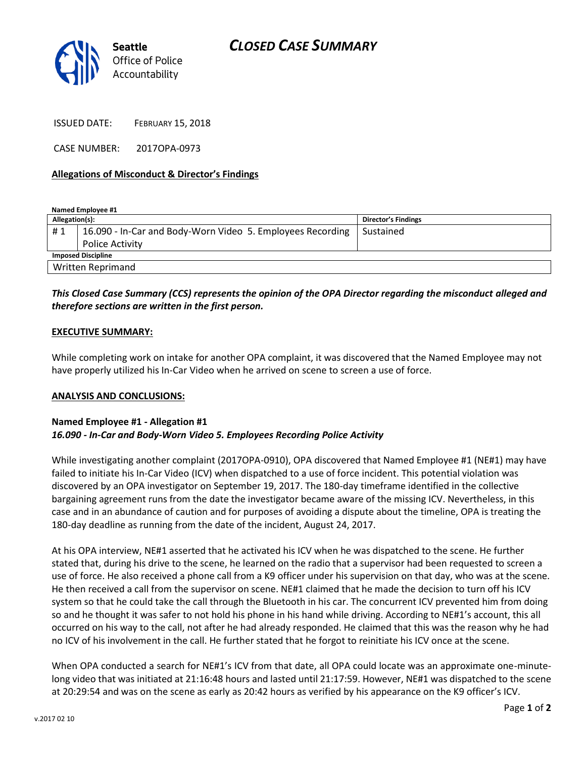

ISSUED DATE: FEBRUARY 15, 2018

CASE NUMBER: 2017OPA-0973

# **Allegations of Misconduct & Director's Findings**

**Named Employee #1 Allegation(s): Director's Findings** # 1 | 16.090 - In-Car and Body-Worn Video 5. Employees Recording Police Activity Sustained **Imposed Discipline** Written Reprimand

# *This Closed Case Summary (CCS) represents the opinion of the OPA Director regarding the misconduct alleged and therefore sections are written in the first person.*

# **EXECUTIVE SUMMARY:**

While completing work on intake for another OPA complaint, it was discovered that the Named Employee may not have properly utilized his In-Car Video when he arrived on scene to screen a use of force.

#### **ANALYSIS AND CONCLUSIONS:**

# **Named Employee #1 - Allegation #1** *16.090 - In-Car and Body-Worn Video 5. Employees Recording Police Activity*

While investigating another complaint (2017OPA-0910), OPA discovered that Named Employee #1 (NE#1) may have failed to initiate his In-Car Video (ICV) when dispatched to a use of force incident. This potential violation was discovered by an OPA investigator on September 19, 2017. The 180-day timeframe identified in the collective bargaining agreement runs from the date the investigator became aware of the missing ICV. Nevertheless, in this case and in an abundance of caution and for purposes of avoiding a dispute about the timeline, OPA is treating the 180-day deadline as running from the date of the incident, August 24, 2017.

At his OPA interview, NE#1 asserted that he activated his ICV when he was dispatched to the scene. He further stated that, during his drive to the scene, he learned on the radio that a supervisor had been requested to screen a use of force. He also received a phone call from a K9 officer under his supervision on that day, who was at the scene. He then received a call from the supervisor on scene. NE#1 claimed that he made the decision to turn off his ICV system so that he could take the call through the Bluetooth in his car. The concurrent ICV prevented him from doing so and he thought it was safer to not hold his phone in his hand while driving. According to NE#1's account, this all occurred on his way to the call, not after he had already responded. He claimed that this was the reason why he had no ICV of his involvement in the call. He further stated that he forgot to reinitiate his ICV once at the scene.

When OPA conducted a search for NE#1's ICV from that date, all OPA could locate was an approximate one-minutelong video that was initiated at 21:16:48 hours and lasted until 21:17:59. However, NE#1 was dispatched to the scene at 20:29:54 and was on the scene as early as 20:42 hours as verified by his appearance on the K9 officer's ICV.